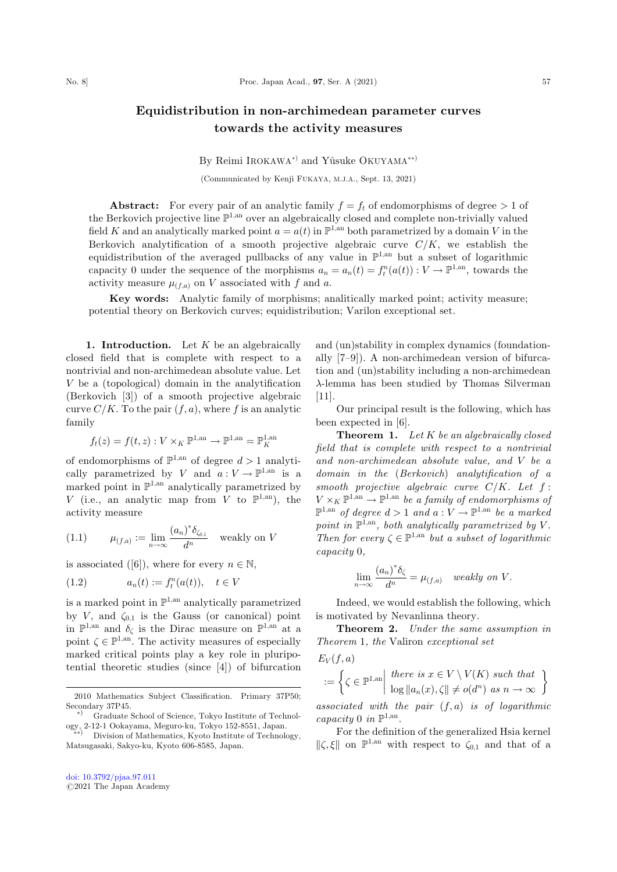## Equidistribution in non-archimedean parameter curves towards the activity measures

## By Reimi IROKAWA<sup>\*</sup> and Yûsuke OKUYAMA<sup>\*\*</sup>

(Communicated by Kenji FUKAYA, M.J.A., Sept. 13, 2021)

Abstract: For every pair of an analytic family  $f = f_t$  of endomorphisms of degree  $> 1$  of the Berkovich projective line  $\mathbb{P}^{1,an}$  over an algebraically closed and complete non-trivially valued field K and an analytically marked point  $a = a(t)$  in  $\mathbb{P}^{1,an}$  both parametrized by a domain V in the Berkovich analytification of a smooth projective algebraic curve  $C/K$ , we establish the equidistribution of the averaged pullbacks of any value in  $\mathbb{P}^{1,an}$  but a subset of logarithmic capacity 0 under the sequence of the morphisms  $a_n = a_n(t) = f_t^n(a(t)) : V \to \mathbb{P}^{1,an}$ , towards the setivity measure  $u(x)$  on V associated with f and g activity measure  $\mu_{(f,a)}$  on V associated with f and a.

Key words: Analytic family of morphisms; analitically marked point; activity measure; potential theory on Berkovich curves; equidistribution; Varilon exceptional set.

1. Introduction. Let  $K$  be an algebraically closed field that is complete with respect to a nontrivial and non-archimedean absolute value. Let V be a (topological) domain in the analytification (Berkovich [3]) of a smooth projective algebraic curve  $C/K$ . To the pair  $(f,a)$ , where f is an analytic family

$$
f_t(z) = f(t, z) : V \times_K \mathbb{P}^{1, \text{an}} \to \mathbb{P}^{1, \text{an}} = \mathbb{P}_K^{1, \text{an}}
$$

of endomorphisms of  $\mathbb{P}^{1,\text{an}}$  of degree  $d > 1$  analytically parametrized by V and  $a: V \to \mathbb{P}^{1,an}$  is a marked point in  $\mathbb{P}^{1,an}$  analytically parametrized by V (i.e., an analytic map from V to  $\mathbb{P}^{1,\mathrm{an}}$ ), the activity measure

(1.1) 
$$
\mu_{(f,a)} := \lim_{n \to \infty} \frac{(a_n)^* \delta_{\zeta_{0,1}}}{d^n} \quad \text{weakly on } V
$$

is associated ([6]), where for every  $n \in \mathbb{N}$ ,

$$
(1.2) \t a_n(t) := f_t^n(a(t)), \t t \in V
$$

is a marked point in  $\mathbb{P}^{1,\mathrm{an}}$  analytically parametrized by V, and  $\zeta_{0,1}$  is the Gauss (or canonical) point in  $\mathbb{P}^{1,\mathrm{an}}$  and  $\delta_{\zeta}$  is the Dirac measure on  $\mathbb{P}^{1,\mathrm{an}}$  at a point  $\zeta \in \mathbb{P}^{1,\text{an}}$ . The activity measures of especially marked critical points play a key role in pluripotential theoretic studies (since [4]) of bifurcation

and (un)stability in complex dynamics (foundationally [7–9]). A non-archimedean version of bifurcation and (un)stability including a non-archimedean -lemma has been studied by Thomas Silverman [11].

Our principal result is the following, which has been expected in [6].

**Theorem 1.** Let  $K$  be an algebraically closed field that is complete with respect to a nontrivial and non-archimedean absolute value, and V be a domain in the (Berkovich) analytification of a smooth projective algebraic curve  $C/K$ . Let  $f$ :  $V \times_K \mathbb{P}^{1,an} \to \mathbb{P}^{1,an}$  be a family of endomorphisms of  $\mathbb{P}^{1,\mathrm{an}}$  of degree  $d > 1$  and  $a: V \to \mathbb{P}^{1,\mathrm{an}}$  be a marked point in  $\mathbb{P}^{1,\mathrm{an}}$ , both analytically parametrized by V. Then for every  $\zeta \in \mathbb{P}^{1,an}$  but a subset of logarithmic capacity 0,

$$
\lim_{n \to \infty} \frac{(a_n)^* \delta_{\zeta}}{d^n} = \mu_{(f,a)} \quad weakly \text{ on } V.
$$

Indeed, we would establish the following, which is motivated by Nevanlinna theory.

Theorem 2. Under the same assumption in Theorem 1, the Valiron exceptional set

$$
E_V(f, a)
$$
  
 :=  $\left\{ \zeta \in \mathbb{P}^{1, \text{an}} \middle| \begin{array}{l} \text{there is } x \in V \setminus V(K) \text{ such} \\ \log ||a_n(x), \zeta|| \neq o(d^n) \text{ as } n \end{array} \right\}$ 

 $:= \left\{ \zeta \in \mathbb{P}^{1,\mathrm{an}} \right\}$  $\left\{\zeta \in \mathbb{P}^{1, \text{an}} \middle| \begin{array}{l} \text{there is } x \in V \setminus V(K) \text{ such that} \\ \log \Vert a_n(x), \zeta \Vert \neq o(d^n) \text{ as } n \to \infty \end{array} \right\}$ 

associated with the pair  $(f,a)$  is of logarithmic capacity 0 in  $\mathbb{P}^{1,\mathrm{an}}$ .

For the definition of the generalized Hsia kernel  $\|\zeta,\xi\|$  on  $\mathbb{P}^{1,\mathrm{an}}$  with respect to  $\zeta_{0,1}$  and that of a

<sup>2010</sup> Mathematics Subject Classification. Primary 37P50; Secondary 37P45.

Graduate School of Science, Tokyo Institute of Technology, 2-12-1 Ookayama, Meguro-ku, Tokyo 152-8551, Japan.<br>
">>> Division of Mathematics, Kyoto Institute of Technology,

Matsugasaki, Sakyo-ku, Kyoto 606-8585, Japan.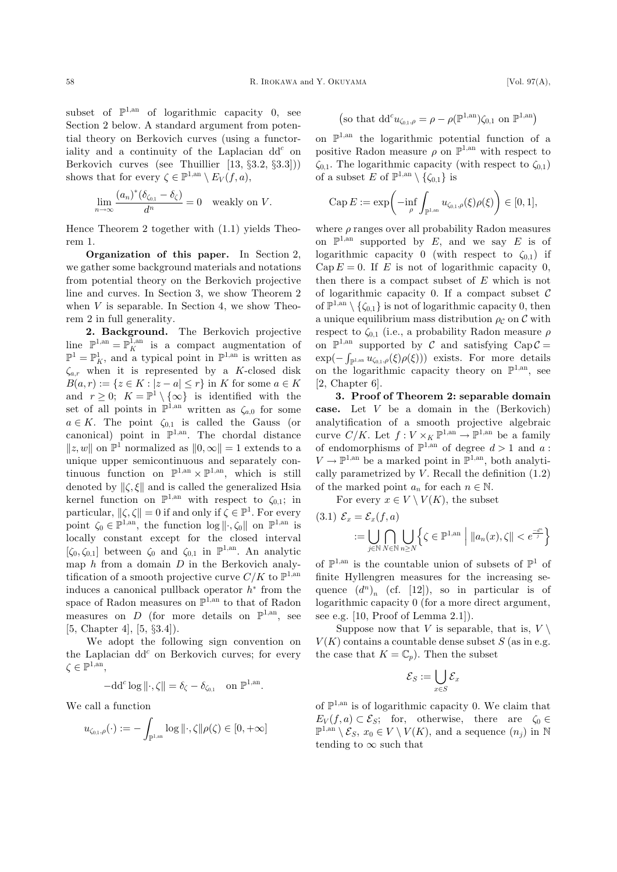subset of  $\mathbb{P}^{1,\text{an}}$  of logarithmic capacity 0, see Section 2 below. A standard argument from potential theory on Berkovich curves (using a functoriality and a continuity of the Laplacian  $dd^c$  on Berkovich curves (see Thuillier [13, §3.2, §3.3])) shows that for every  $\zeta \in \mathbb{P}^{1,\text{an}} \setminus E_V(f,a)$ ,

$$
\lim_{n \to \infty} \frac{(a_n)^*(\delta_{\zeta_{0,1}} - \delta_{\zeta})}{d^n} = 0 \quad \text{weakly on } V.
$$

Hence Theorem 2 together with (1.1) yields Theorem 1.

Organization of this paper. In Section 2, we gather some background materials and notations from potential theory on the Berkovich projective line and curves. In Section 3, we show Theorem 2 when  $V$  is separable. In Section 4, we show Theorem 2 in full generality.

2. Background. The Berkovich projective line  $\mathbb{P}^{1,an} = \mathbb{P}_{K}^{1,an}$  is a compact augmentation of  $\mathbb{P}^{1} - \mathbb{P}^{1}$  and a typical point in  $\mathbb{P}^{1,an}$  is written as  $\mathbb{P}^1 = \mathbb{P}^1_K$ , and a typical point in  $\mathbb{P}^{1,an}$  is written as  $\zeta_{a,r}$  when it is represented by a K-closed disk  $B(a,r) := \{z \in K : |z - a| \leq r\}$  in K for some  $a \in K$ and  $r \geq 0$ ;  $K = \mathbb{P}^1 \setminus {\infty}$  is identified with the set of all points in  $\mathbb{P}^{1,\text{an}}$  written as  $\zeta_{a,0}$  for some  $a \in K$ . The point  $\zeta_{0,1}$  is called the Gauss (or canonical) point in  $\mathbb{P}^{1,\text{an}}$ . The chordal distance  $||z, w||$  on  $\mathbb{P}^1$  normalized as  $||0, \infty|| = 1$  extends to a unique upper semicontinuous and separately continuous function on  $\mathbb{P}^{1,\text{an}} \times \mathbb{P}^{1,\text{an}}$ , which is still denoted by  $\|\zeta,\xi\|$  and is called the generalized Hsia kernel function on  $\mathbb{P}^{1,an}$  with respect to  $\zeta_{0,1}$ ; in particular,  $\|\zeta,\zeta\|=0$  if and only if  $\zeta\in\mathbb{P}^1$ . For every point  $\zeta_0 \in \mathbb{P}^{1,\text{an}}$ , the function  $\log || \cdot, \zeta_0 ||$  on  $\mathbb{P}^{1,\text{an}}$  is locally constant except for the closed interval  $[\zeta_0, \zeta_{0,1}]$  between  $\zeta_0$  and  $\zeta_{0,1}$  in  $\mathbb{P}^{1,\text{an}}$ . An analytic map  $h$  from a domain  $D$  in the Berkovich analytification of a smooth projective curve  $C/K$  to  $\mathbb{P}^{1,\mathrm{an}}$ induces a canonical pullback operator  $h^*$  from the space of Radon measures on  $\mathbb{P}^{1,an}$  to that of Radon measures on D (for more details on  $\mathbb{P}^{1,\text{an}}$ , see [5, Chapter 4], [5, §3.4]).

We adopt the following sign convention on the Laplacian  $dd^c$  on Berkovich curves; for every  $\zeta \in \mathbb{P}^{1,\mathrm{an}},$ 

$$
-\mathrm{d} \mathrm{d}^c \log \|\cdot,\zeta\| = \delta_{\zeta} - \delta_{\zeta_{0,1}} \quad \text{on } \mathbb{P}^{1,\mathrm{an}}.
$$

We call a function

$$
u_{\zeta_{0,1},\rho}(\cdot):=-\int_{\mathbb{P}^{1,\mathrm{an}}}\log\|\cdot,\zeta\|\rho(\zeta)\in[0,+\infty]
$$

$$
\left(\text{so that } dd^c u_{\zeta_{0,1},\rho} = \rho - \rho(\mathbb{P}^{1,\mathrm{an}})\zeta_{0,1} \text{ on } \mathbb{P}^{1,\mathrm{an}}\right)
$$

on  $\mathbb{P}^{1,an}$  the logarithmic potential function of a positive Radon measure  $\rho$  on  $\mathbb{P}^{1,an}$  with respect to  $\zeta_{0,1}$ . The logarithmic capacity (with respect to  $\zeta_{0,1}$ ) of a subset E of  $\mathbb{P}^{1,\text{an}} \setminus {\zeta_{0,1}}$  is

$$
\operatorname{Cap} E := \exp\biggl(-\inf_{\rho} \int_{\mathbb{P}^{1,\text{an}}} u_{\zeta_{0,1},\rho}(\xi) \rho(\xi)\biggr) \in [0,1],
$$

where  $\rho$  ranges over all probability Radon measures on  $\mathbb{P}^{1,\mathrm{an}}$  supported by E, and we say E is of logarithmic capacity 0 (with respect to  $\zeta_{0,1}$ ) if  $Cap E = 0$ . If E is not of logarithmic capacity 0, then there is a compact subset of E which is not of logarithmic capacity 0. If a compact subset  $\mathcal C$ of  $\mathbb{P}^{1,\text{an}}\setminus\{\zeta_{0,1}\}\$ is not of logarithmic capacity 0, then a unique equilibrium mass distribution  $\rho_c$  on C with respect to  $\zeta_{0,1}$  (i.e., a probability Radon measure  $\rho$ on  $\mathbb{P}^{1,\mathrm{an}}$  supported by C and satisfying  $\mathrm{Cap}\,\mathcal{C} =$  $\exp(-\int_{\mathbb{P}^{1,\text{an}}} u_{\zeta_{0,1},\rho}(\xi)\rho(\xi))$  exists. For more details<br>on the logarithmic canacity theory on  $\mathbb{P}^{1,\text{an}}$  see on the logarithmic capacity theory on  $\mathbb{P}^{1,\mathrm{an}}$ , see [2, Chapter 6].

3. Proof of Theorem 2: separable domain case. Let V be a domain in the (Berkovich) analytification of a smooth projective algebraic curve  $C/K$ . Let  $f : V \times_K \mathbb{P}^{1,\text{an}} \to \mathbb{P}^{1,\text{an}}$  be a family of endomorphisms of  $\mathbb{P}^{1,\text{an}}$  of degree  $d > 1$  and a:  $V \to \mathbb{P}^{1,an}$  be a marked point in  $\mathbb{P}^{1,an}$ , both analytically parametrized by  $V$ . Recall the definition  $(1.2)$ of the marked point  $a_n$  for each  $n \in \mathbb{N}$ .

For every  $x \in V \setminus V(K)$ , the subset

$$
(3.1) \ \mathcal{E}_x = \mathcal{E}_x(f, a)
$$
  
 := 
$$
\bigcup_{j \in \mathbb{N}} \bigcap_{N \in \mathbb{N}} \bigcup_{n \ge N} \left\{ \zeta \in \mathbb{P}^{1, \text{an}} \; \middle| \; ||a_n(x), \zeta|| < e^{\frac{-d^n}{j}} \right\}
$$

of  $\mathbb{P}^{1,\mathrm{an}}$  is the countable union of subsets of  $\mathbb{P}^1$  of finite Hyllengren measures for the increasing sequence  $(d^n)_n$  (cf. [12]), so in particular is of logarithmic capacity 0 (for a more direct argument, see e.g. [10, Proof of Lemma 2.1]).

Suppose now that V is separable, that is,  $V \setminus$  $V(K)$  contains a countable dense subset S (as in e.g. the case that  $K = \mathbb{C}_p$ . Then the subset

$$
\mathcal{E}_S := \bigcup_{x \in S} \mathcal{E}_x
$$

of  $\mathbb{P}^{1,\text{an}}$  is of logarithmic capacity 0. We claim that  $E_V(f,a) \subset \mathcal{E}_S$ ; for, otherwise, there are  $\zeta_0 \in$  $\mathbb{P}^{1,\mathrm{an}} \setminus \mathcal{E}_S$ ,  $x_0 \in V \setminus V(K)$ , and a sequence  $(n_i)$  in N tending to  $\infty$  such that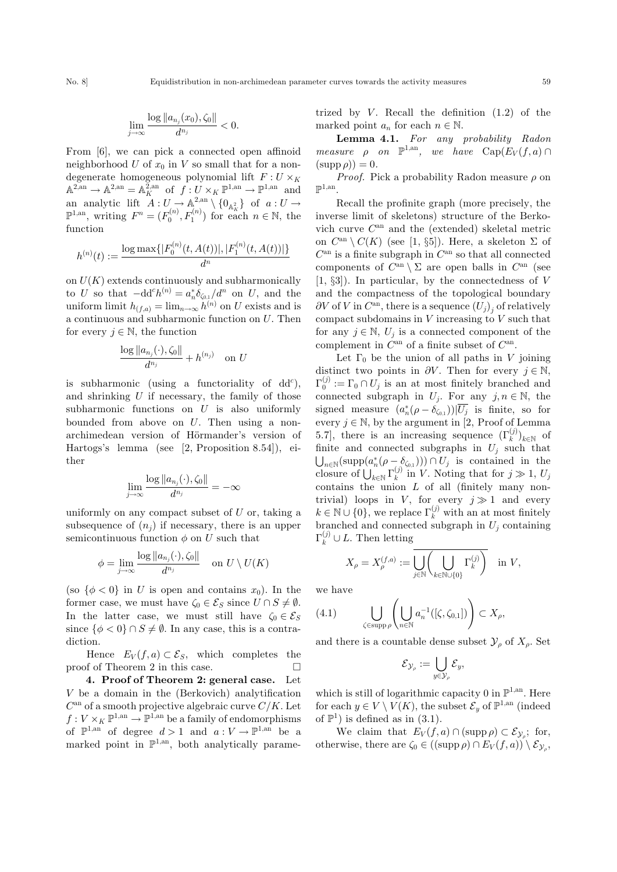$$
\lim_{j\to\infty}\frac{\log\|a_{n_j}(x_0),\zeta_0\|}{d^{n_j}}<0.
$$

From [6], we can pick a connected open affinoid neighborhood  $U$  of  $x_0$  in  $V$  so small that for a nondegenerate homogeneous polynomial lift  $F: U \times_K$  $\mathbb{A}^{2,\text{an}} \to \mathbb{A}^{2,\text{an}} = \mathbb{A}_{K}^{2,\text{an}}$  of  $f: U \times_{K} \mathbb{P}^{1,\text{an}} \to \mathbb{P}^{1,\text{an}}$  and an analytic lift  $A: U \to \mathbb{A}^{2,\text{an}} \setminus \{0_{\mathbb{A}^2_K}\}$  of  $a: U \to \mathbb{R}^{1,\text{an}}$  writing  $F^n - (F^{(n)} \ F^{(n)})$  for each  $n \in \mathbb{N}$  the  $\mathbb{P}^{1,\text{an}}$ , writing  $F^n = (F_0^{(n)}, F_1^{(n)})$  for each  $n \in \mathbb{N}$ , the function

$$
h^{(n)}(t) := \frac{\log \max\{|F_0^{(n)}(t, A(t))|, |F_1^{(n)}(t, A(t))|\}}{d^n}
$$

on  $U(K)$  extends continuously and subharmonically to U so that  $-\mathrm{d} \mathrm{d}^c h^{(n)} = a_n^* \delta_{\zeta_{0,1}}/d^n$  on U, and the uniform limit  $h_{(f,a)} = \lim_{n \to \infty} h^{(n)}$  on U exists and is a continuous and subharmonic function on U. Then for every  $j \in \mathbb{N}$ , the function

$$
\frac{\log \|a_{n_j}(\cdot),\zeta_0\|}{d^{n_j}}+h^{(n_j)} \quad \text{on } U
$$

is subharmonic (using a functoriality of  $dd^c$ ), and shrinking  $U$  if necessary, the family of those subharmonic functions on  $U$  is also uniformly bounded from above on  $U$ . Then using a nonarchimedean version of Hörmander's version of Hartogs's lemma (see [2, Proposition 8.54]), either

$$
\lim_{j\to\infty}\frac{\log\|a_{n_j}(\cdot),\zeta_0\|}{d^{n_j}}=-\infty
$$

uniformly on any compact subset of  $U$  or, taking a subsequence of  $(n_i)$  if necessary, there is an upper semicontinuous function  $\phi$  on U such that

$$
\phi = \lim_{j \to \infty} \frac{\log ||a_{n_j}(\cdot), \zeta_0||}{d^{n_j}} \quad \text{on } U \setminus U(K)
$$

(so  $\{\phi < 0\}$  in U is open and contains  $x_0$ ). In the former case, we must have  $\zeta_0 \in \mathcal{E}_S$  since  $U \cap S \neq \emptyset$ . In the latter case, we must still have  $\zeta_0 \in \mathcal{E}_S$ since  $\{\phi < 0\} \cap S \neq \emptyset$ . In any case, this is a contradiction.

Hence  $E_V(f,a) \subset \mathcal{E}_S$ , which completes the proof of Theorem 2 in this case.  $\Box$ 

4. Proof of Theorem 2: general case. Let V be a domain in the (Berkovich) analytification  $C^{\text{an}}$  of a smooth projective algebraic curve  $C/K$ . Let  $f: V \times_K \mathbb{P}^{1,\text{an}} \to \mathbb{P}^{1,\text{an}}$  be a family of endomorphisms of  $\mathbb{P}^{1,\mathrm{an}}$  of degree  $d > 1$  and  $a: V \to \mathbb{P}^{1,\mathrm{an}}$  be a marked point in  $\mathbb{P}^{1,\text{an}}$ , both analytically parametrized by  $V$ . Recall the definition  $(1.2)$  of the marked point  $a_n$  for each  $n \in \mathbb{N}$ .

Lemma 4.1. For any probability Radon measure  $\rho$  on  $\mathbb{P}^{1,\text{an}}$ , we have  $\text{Cap}(E_V(f,a)) \cap$  $(\text{supp }\rho)) = 0.$ 

*Proof.* Pick a probability Radon measure  $\rho$  on  $\mathbb{P}^{1,\mathrm{an}}$ 

Recall the profinite graph (more precisely, the inverse limit of skeletons) structure of the Berkovich curve  $C^{an}$  and the (extended) skeletal metric on  $C^{an} \setminus C(K)$  (see [1, §5]). Here, a skeleton  $\Sigma$  of  $C^{\text{an}}$  is a finite subgraph in  $C^{\text{an}}$  so that all connected components of  $C^{\text{an}} \setminus \Sigma$  are open balls in  $C^{\text{an}}$  (see  $[1, \S 3]$ ). In particular, by the connectedness of V and the compactness of the topological boundary  $\partial V$  of V in  $C^{an}$ , there is a sequence  $(U_i)$ , of relatively compact subdomains in  $V$  increasing to  $V$  such that for any  $j \in \mathbb{N}$ ,  $U_j$  is a connected component of the complement in  $C^{\text{an}}$  of a finite subset of  $C^{\text{an}}$ .

Let  $\Gamma_0$  be the union of all paths in V joining distinct two points in  $\partial V$ . Then for every  $j \in \mathbb{N}$ ,  $\Gamma_0^{(j)} := \Gamma_0 \cap U_j$  is an at most finitely branched and connected subgraph in  $U_j$ . For any  $j, n \in \mathbb{N}$ , the signed measure  $(a_n^*(\rho - \delta_{\zeta_{0,1}}))|\overline{U_j}$  is finite, so for every  $j \in \mathbb{N}$ , by the argument in [2, Proof of Lemma 5.7], there is an increasing sequence  $(\Gamma_k^{(j)})_{k \in \mathbb{N}}$  of finite and connected subgraphs in  $U_k$  such that finite and connected subgraphs in  $U_j$  such that  $\bigcup_{n\in\mathbb{N}} (\text{supp}(a_n^*(\rho - \delta_{\zeta_{0,1}}))) \cap U_j$  is contained in the<br>closure of  $\prod_{i=1}^{n} \Gamma^{(j)}$  in *V*. Noting that for  $i \gg 1$  *U*. C<sub>ne</sub> experience of  $\bigcup_{k \in \mathbb{N}} \Gamma_k^{(j)}$  in V. Noting that for  $j \gg 1$ ,  $U_j$  contains the union *L* of all (finitely many non contains the union L of all (finitely many nontrivial) loops in V, for every  $j \gg 1$  and every  $k \in \mathbb{N} \cup \{0\}$ , we replace  $\Gamma_k^{(j)}$  with an at most finitely<br>branched and connected subgraph in  $U$  containing branched and connected subgraph in  $U_j$  containing  $\Gamma_k^{(j)} \cup L$ . Then letting

$$
X_{\rho}=X_{\rho}^{(f,a)}:=\overline{\bigcup_{j\in\mathbb{N}}\left(\bigcup_{k\in\mathbb{N}\cup\{0\}}\Gamma_k^{(j)}\right)}\quad\text{in }V,
$$

we have

(4.1) 
$$
\bigcup_{\zeta \in \text{supp}\,\rho} \left( \bigcup_{n \in \mathbb{N}} a_n^{-1}([\zeta, \zeta_{0,1}]) \right) \subset X_{\rho},
$$

and there is a countable dense subset  $\mathcal{Y}_o$  of  $X_o$ . Set

$$
\mathcal{E}_{\mathcal{Y}_{\rho}} := \bigcup_{y \in \mathcal{Y}_{\rho}} \mathcal{E}_y,
$$

which is still of logarithmic capacity 0 in  $\mathbb{P}^{1,an}$ . Here for each  $y \in V \setminus V(K)$ , the subset  $\mathcal{E}_y$  of  $\mathbb{P}^{1,\mathrm{an}}$  (indeed of  $\mathbb{P}^1$ ) is defined as in (3.1).

We claim that  $E_V(f,a) \cap (\text{supp }\rho) \subset \mathcal{E}_{\mathcal{V}_s}$ ; for, otherwise, there are  $\zeta_0 \in ((\text{supp }\rho) \cap E_V(f,a)) \setminus \mathcal{E}_{\mathcal{V}_o}$ ,